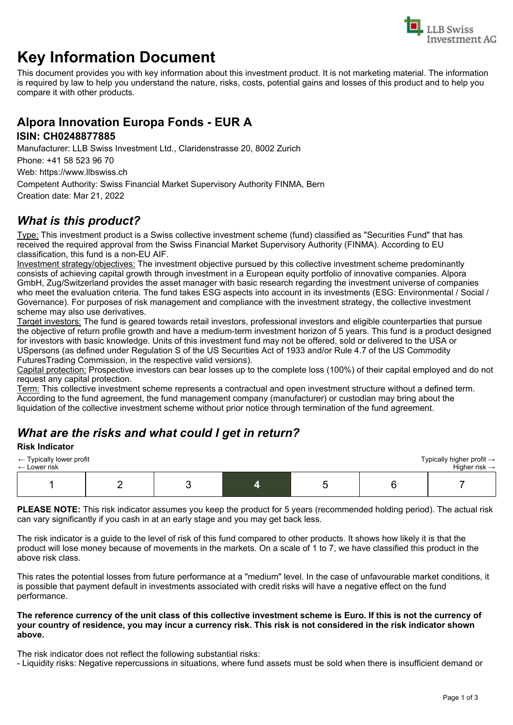

# **Key Information Document**

This document provides you with key information about this investment product. It is not marketing material. The information is required by law to help you understand the nature, risks, costs, potential gains and losses of this product and to help you compare it with other products.

# **Alpora Innovation Europa Fonds - EUR A**

#### **ISIN: CH0248877885**

Manufacturer: LLB Swiss Investment Ltd., Claridenstrasse 20, 8002 Zurich

Phone: +41 58 523 96 70

Web: https://www.llbswiss.ch

Competent Authority: Swiss Financial Market Supervisory Authority FINMA, Bern

Creation date: Mar 21, 2022

# *What is this product?*

Type: This investment product is a Swiss collective investment scheme (fund) classified as "Securities Fund" that has received the required approval from the Swiss Financial Market Supervisory Authority (FINMA). According to EU classification, this fund is a non-EU AIF.

Investment strategy/objectives: The investment objective pursued by this collective investment scheme predominantly consists of achieving capital growth through investment in a European equity portfolio of innovative companies. Alpora GmbH, Zug/Switzerland provides the asset manager with basic research regarding the investment universe of companies who meet the evaluation criteria. The fund takes ESG aspects into account in its investments (ESG: Environmental / Social / Governance). For purposes of risk management and compliance with the investment strategy, the collective investment scheme may also use derivatives.

Target investors: The fund is geared towards retail investors, professional investors and eligible counterparties that pursue the objective of return profile growth and have a medium-term investment horizon of 5 years. This fund is a product designed for investors with basic knowledge. Units of this investment fund may not be offered, sold or delivered to the USA or USpersons (as defined under Regulation S of the US Securities Act of 1933 and/or Rule 4.7 of the US Commodity FuturesTrading Commission, in the respective valid versions).

Capital protection: Prospective investors can bear losses up to the complete loss (100%) of their capital employed and do not request any capital protection.

Term: This collective investment scheme represents a contractual and open investment structure without a defined term. According to the fund agreement, the fund management company (manufacturer) or custodian may bring about the liquidation of the collective investment scheme without prior notice through termination of the fund agreement.

# *What are the risks and what could I get in return?*

#### **Risk Indicator**

| $\leftarrow$ Typically lower profit |  |  |  |  | Typically higher profit $\rightarrow$ |  |
|-------------------------------------|--|--|--|--|---------------------------------------|--|
| $\leftarrow$ Lower risk             |  |  |  |  | Higher risk $\rightarrow$             |  |
|                                     |  |  |  |  |                                       |  |

**PLEASE NOTE:** This risk indicator assumes you keep the product for 5 years (recommended holding period). The actual risk can vary significantly if you cash in at an early stage and you may get back less.

The risk indicator is a guide to the level of risk of this fund compared to other products. It shows how likely it is that the product will lose money because of movements in the markets. On a scale of 1 to 7, we have classified this product in the above risk class.

This rates the potential losses from future performance at a "medium" level. In the case of unfavourable market conditions, it is possible that payment default in investments associated with credit risks will have a negative effect on the fund performance.

#### **The reference currency of the unit class of this collective investment scheme is Euro. If this is not the currency of your country of residence, you may incur a currency risk. This risk is not considered in the risk indicator shown above.**

The risk indicator does not reflect the following substantial risks:

- Liquidity risks: Negative repercussions in situations, where fund assets must be sold when there is insufficient demand or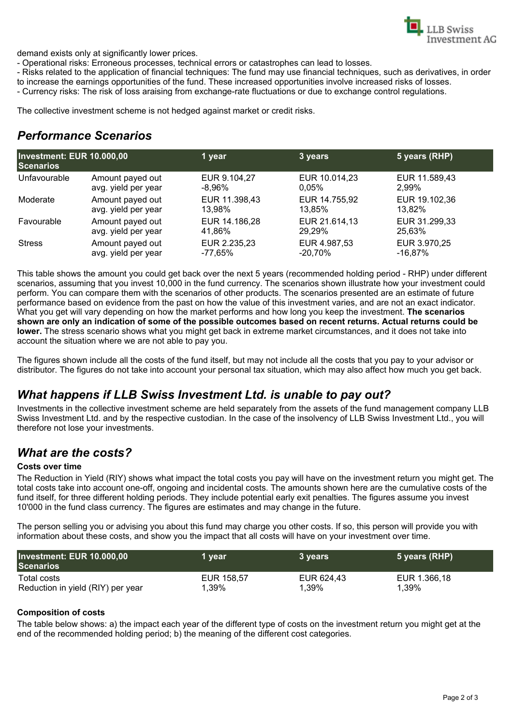

demand exists only at significantly lower prices.

- Operational risks: Erroneous processes, technical errors or catastrophes can lead to losses.

- Risks related to the application of financial techniques: The fund may use financial techniques, such as derivatives, in order to increase the earnings opportunities of the fund. These increased opportunities involve increased risks of losses.

- Currency risks: The risk of loss araising from exchange-rate fluctuations or due to exchange control regulations.

The collective investment scheme is not hedged against market or credit risks.

### *Performance Scenarios*

| <b>Investment: EUR 10.000,00</b><br><b>Scenarios</b> |                     | 1 year        | 3 years       | 5 years (RHP) |
|------------------------------------------------------|---------------------|---------------|---------------|---------------|
| Unfavourable                                         | Amount payed out    | EUR 9.104,27  | EUR 10.014,23 | EUR 11.589,43 |
|                                                      | avg. yield per year | -8.96%        | 0.05%         | 2.99%         |
| Moderate                                             | Amount payed out    | EUR 11.398,43 | EUR 14.755,92 | EUR 19.102,36 |
|                                                      | avg. yield per year | 13.98%        | 13.85%        | 13.82%        |
| Favourable                                           | Amount payed out    | EUR 14.186,28 | EUR 21.614,13 | EUR 31.299,33 |
|                                                      | avg. yield per year | 41.86%        | 29.29%        | 25,63%        |
| <b>Stress</b>                                        | Amount payed out    | EUR 2.235,23  | EUR 4.987,53  | EUR 3.970,25  |
|                                                      | avg. yield per year | -77.65%       | $-20.70\%$    | -16.87%       |

This table shows the amount you could get back over the next 5 years (recommended holding period - RHP) under different scenarios, assuming that you invest 10,000 in the fund currency. The scenarios shown illustrate how your investment could perform. You can compare them with the scenarios of other products. The scenarios presented are an estimate of future performance based on evidence from the past on how the value of this investment varies, and are not an exact indicator. What you get will vary depending on how the market performs and how long you keep the investment. **The scenarios shown are only an indication of some of the possible outcomes based on recent returns. Actual returns could be lower.** The stress scenario shows what you might get back in extreme market circumstances, and it does not take into account the situation where we are not able to pay you.

The figures shown include all the costs of the fund itself, but may not include all the costs that you pay to your advisor or distributor. The figures do not take into account your personal tax situation, which may also affect how much you get back.

### *What happens if LLB Swiss Investment Ltd. is unable to pay out?*

Investments in the collective investment scheme are held separately from the assets of the fund management company LLB Swiss Investment Ltd. and by the respective custodian. In the case of the insolvency of LLB Swiss Investment Ltd., you will therefore not lose your investments.

#### *What are the costs?*

#### **Costs over time**

The Reduction in Yield (RIY) shows what impact the total costs you pay will have on the investment return you might get. The total costs take into account one-off, ongoing and incidental costs. The amounts shown here are the cumulative costs of the fund itself, for three different holding periods. They include potential early exit penalties. The figures assume you invest 10'000 in the fund class currency. The figures are estimates and may change in the future.

The person selling you or advising you about this fund may charge you other costs. If so, this person will provide you with information about these costs, and show you the impact that all costs will have on your investment over time.

| Investment: EUR 10.000,00<br><b>Scenarios</b> | 1 year     | 3 years.   | 5 years (RHP) |
|-----------------------------------------------|------------|------------|---------------|
| Total costs                                   | EUR 158.57 | EUR 624,43 | EUR 1.366,18  |
| Reduction in yield (RIY) per year             | 1,39%      | 1.39%      | 1,39%         |

#### **Composition of costs**

The table below shows: a) the impact each year of the different type of costs on the investment return you might get at the end of the recommended holding period; b) the meaning of the different cost categories.